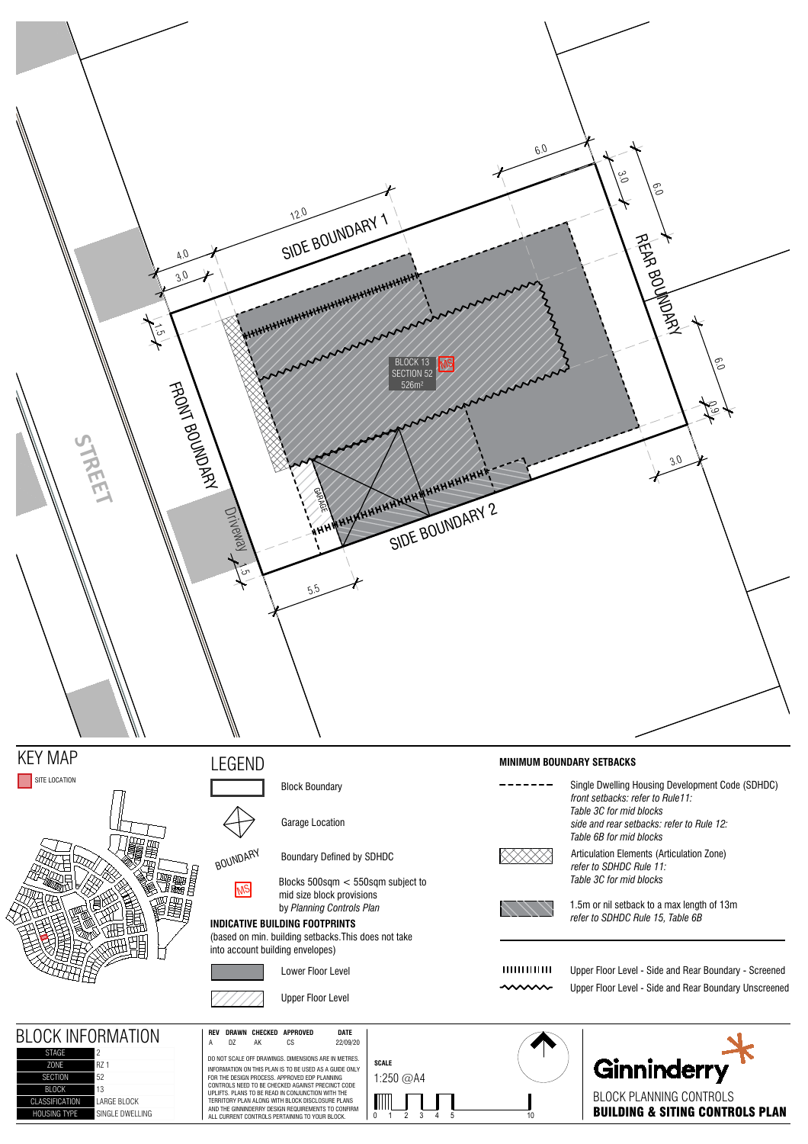